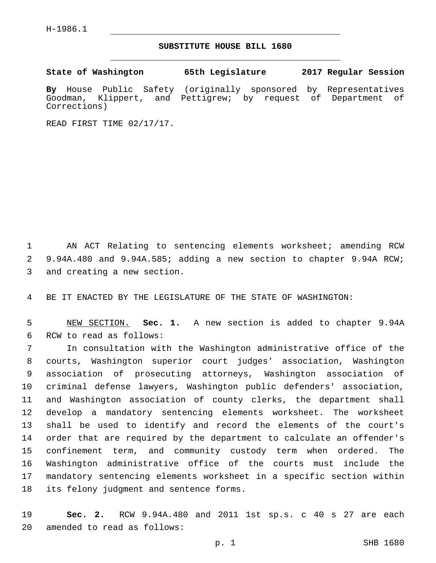H-1986.1

## **SUBSTITUTE HOUSE BILL 1680**

**State of Washington 65th Legislature 2017 Regular Session By** House Public Safety (originally sponsored by Representatives Goodman, Klippert, and Pettigrew; by request of Department of Corrections)

READ FIRST TIME 02/17/17.

1 AN ACT Relating to sentencing elements worksheet; amending RCW 2 9.94A.480 and 9.94A.585; adding a new section to chapter 9.94A RCW; 3 and creating a new section.

4 BE IT ENACTED BY THE LEGISLATURE OF THE STATE OF WASHINGTON:

5 NEW SECTION. **Sec. 1.** A new section is added to chapter 9.94A 6 RCW to read as follows:

 In consultation with the Washington administrative office of the courts, Washington superior court judges' association, Washington association of prosecuting attorneys, Washington association of criminal defense lawyers, Washington public defenders' association, and Washington association of county clerks, the department shall develop a mandatory sentencing elements worksheet. The worksheet shall be used to identify and record the elements of the court's order that are required by the department to calculate an offender's confinement term, and community custody term when ordered. The Washington administrative office of the courts must include the mandatory sentencing elements worksheet in a specific section within 18 its felony judgment and sentence forms.

19 **Sec. 2.** RCW 9.94A.480 and 2011 1st sp.s. c 40 s 27 are each 20 amended to read as follows: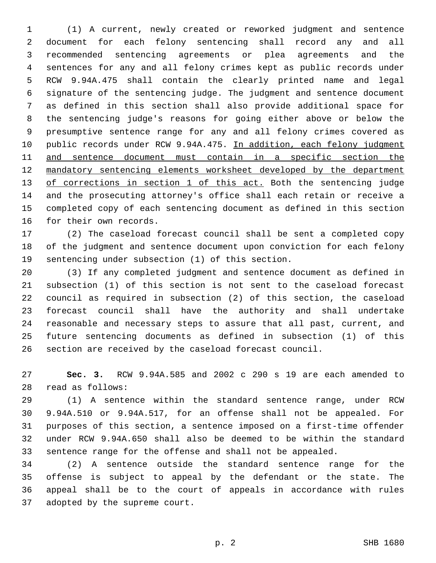(1) A current, newly created or reworked judgment and sentence document for each felony sentencing shall record any and all recommended sentencing agreements or plea agreements and the sentences for any and all felony crimes kept as public records under RCW 9.94A.475 shall contain the clearly printed name and legal signature of the sentencing judge. The judgment and sentence document as defined in this section shall also provide additional space for the sentencing judge's reasons for going either above or below the presumptive sentence range for any and all felony crimes covered as 10 public records under RCW 9.94A.475. In addition, each felony judgment and sentence document must contain in a specific section the mandatory sentencing elements worksheet developed by the department 13 of corrections in section 1 of this act. Both the sentencing judge and the prosecuting attorney's office shall each retain or receive a completed copy of each sentencing document as defined in this section 16 for their own records.

 (2) The caseload forecast council shall be sent a completed copy of the judgment and sentence document upon conviction for each felony 19 sentencing under subsection (1) of this section.

 (3) If any completed judgment and sentence document as defined in subsection (1) of this section is not sent to the caseload forecast council as required in subsection (2) of this section, the caseload forecast council shall have the authority and shall undertake reasonable and necessary steps to assure that all past, current, and future sentencing documents as defined in subsection (1) of this section are received by the caseload forecast council.

 **Sec. 3.** RCW 9.94A.585 and 2002 c 290 s 19 are each amended to 28 read as follows:

 (1) A sentence within the standard sentence range, under RCW 9.94A.510 or 9.94A.517, for an offense shall not be appealed. For purposes of this section, a sentence imposed on a first-time offender under RCW 9.94A.650 shall also be deemed to be within the standard sentence range for the offense and shall not be appealed.

 (2) A sentence outside the standard sentence range for the offense is subject to appeal by the defendant or the state. The appeal shall be to the court of appeals in accordance with rules 37 adopted by the supreme court.